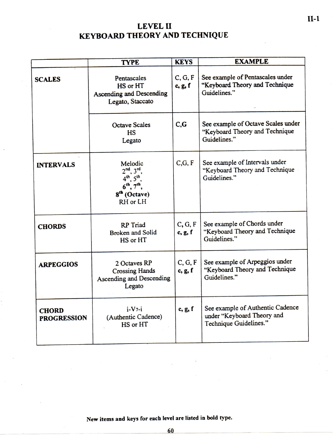## **LEVE L II KEYBOARD THEORY AND TECHNIQUE**

|                                    | <b>TYPE</b>                                                                                            | <b>KEYS</b>        | <b>EXAMPLE</b>                                                                           |
|------------------------------------|--------------------------------------------------------------------------------------------------------|--------------------|------------------------------------------------------------------------------------------|
| <b>SCALES</b>                      | Pentascales<br>HS or HT<br><b>Ascending and Descending</b><br>Legato, Staccato                         | C, G, F<br>c, g, f | See example of Pentascales under<br>"Keyboard Theory and Technique<br>Guidelines."       |
|                                    | <b>Octave Scales</b><br><b>HS</b><br>Legato                                                            | $C_{\cdot}G$       | See example of Octave Scales under<br>"Keyboard Theory and Technique<br>Guidelines."     |
| <b>INTERVALS</b>                   | Melodic<br>$2nd$ , $3rd$<br>1 <sup>th</sup><br>6 <sup>th</sup><br>8 <sup>th</sup> (Octave)<br>RH or LH | C, G, F            | See example of Intervals under<br>"Keyboard Theory and Technique<br>Guidelines."         |
| <b>CHORDS</b>                      | <b>RP</b> Triad<br><b>Broken and Solid</b><br>HS or HT                                                 | C, G, F<br>c, g, f | See example of Chords under<br>"Keyboard Theory and Technique<br>Guidelines."            |
| <b>ARPEGGIOS</b>                   | 2 Octaves RP<br><b>Crossing Hands</b><br><b>Ascending and Descending</b><br>Legato                     | C, G, F<br>c, g, f | See example of Arpeggios under<br>"Keyboard Theory and Technique<br>Guidelines."         |
| <b>CHORD</b><br><b>PROGRESSION</b> | $i-V7-i$<br>(Authentic Cadence)<br>HS or HT                                                            | c, g, f            | See example of Authentic Cadence<br>under "Keyboard Theory and<br>Technique Guidelines." |

New items and keys for each level are listed in bold type.